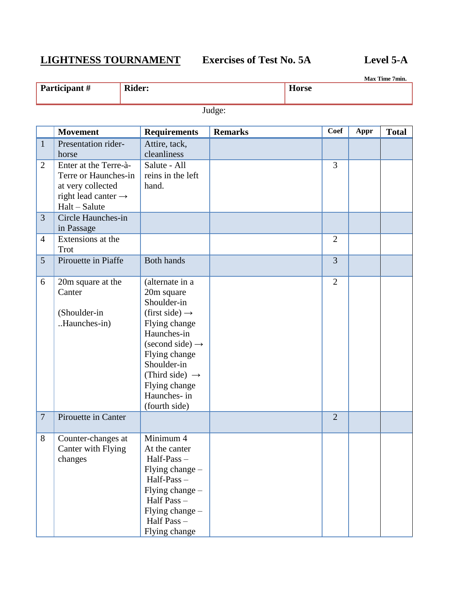# **LIGHTNESS TOURNAMENT Exercises of Test No. 5A Level 5-A**

**Max Time 7min.**

|                 | Participant #                                                                                                            | <b>Rider:</b>                                                                                                                                                                                                                                                    |                | <b>Horse</b> |                |      | Max Time 7min. |
|-----------------|--------------------------------------------------------------------------------------------------------------------------|------------------------------------------------------------------------------------------------------------------------------------------------------------------------------------------------------------------------------------------------------------------|----------------|--------------|----------------|------|----------------|
|                 |                                                                                                                          |                                                                                                                                                                                                                                                                  | Judge:         |              |                |      |                |
|                 |                                                                                                                          |                                                                                                                                                                                                                                                                  |                |              |                |      |                |
|                 | <b>Movement</b>                                                                                                          | <b>Requirements</b>                                                                                                                                                                                                                                              | <b>Remarks</b> |              | <b>Coef</b>    | Appr | <b>Total</b>   |
| $\mathbf{1}$    | Presentation rider-<br>horse                                                                                             | Attire, tack,<br>cleanliness                                                                                                                                                                                                                                     |                |              |                |      |                |
| 2               | Enter at the Terre-à-<br>Terre or Haunches-in<br>at very collected<br>right lead canter $\rightarrow$<br>$Halt - Salute$ | Salute - All<br>reins in the left<br>hand.                                                                                                                                                                                                                       |                |              | 3              |      |                |
| $\overline{3}$  | Circle Haunches-in<br>in Passage                                                                                         |                                                                                                                                                                                                                                                                  |                |              |                |      |                |
| $\overline{4}$  | Extensions at the<br>Trot                                                                                                |                                                                                                                                                                                                                                                                  |                |              | $\overline{2}$ |      |                |
| $5\overline{)}$ | Pirouette in Piaffe                                                                                                      | <b>Both hands</b>                                                                                                                                                                                                                                                |                |              | $\overline{3}$ |      |                |
| 6               | 20m square at the<br>Canter<br>(Shoulder-in<br>Haunches-in)                                                              | (alternate in a<br>20m square<br>Shoulder-in<br>(first side) $\rightarrow$<br>Flying change<br>Haunches-in<br>$\text{(second side)} \rightarrow$<br>Flying change<br>Shoulder-in<br>(Third side) $\rightarrow$<br>Flying change<br>Haunches- in<br>(fourth side) |                |              | $\overline{2}$ |      |                |
| 7               | Pirouette in Canter                                                                                                      |                                                                                                                                                                                                                                                                  |                |              | $\overline{2}$ |      |                |
| 8               | Counter-changes at<br>Canter with Flying<br>changes                                                                      | Minimum 4<br>At the canter<br>Half-Pass-<br>Flying change -<br>Half-Pass-<br>Flying change -<br>Half Pass-<br>Flying change -<br>Half Pass -<br>Flying change                                                                                                    |                |              |                |      |                |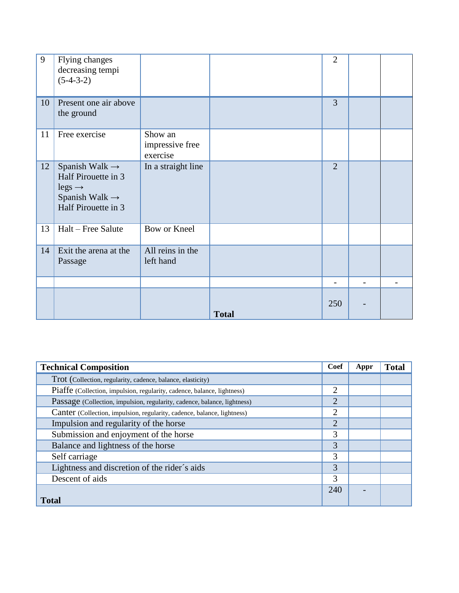| 9  | Flying changes<br>decreasing tempi<br>$(5-4-3-2)$                                                                            |                                        |              | $\overline{2}$           |                          |  |
|----|------------------------------------------------------------------------------------------------------------------------------|----------------------------------------|--------------|--------------------------|--------------------------|--|
| 10 | Present one air above<br>the ground                                                                                          |                                        |              | 3                        |                          |  |
| 11 | Free exercise                                                                                                                | Show an<br>impressive free<br>exercise |              |                          |                          |  |
| 12 | Spanish Walk $\rightarrow$<br>Half Pirouette in 3<br>$legs \rightarrow$<br>Spanish Walk $\rightarrow$<br>Half Pirouette in 3 | In a straight line                     |              | $\overline{2}$           |                          |  |
| 13 | Halt – Free Salute                                                                                                           | Bow or Kneel                           |              |                          |                          |  |
| 14 | Exit the arena at the<br>Passage                                                                                             | All reins in the<br>left hand          |              |                          |                          |  |
|    |                                                                                                                              |                                        |              | $\overline{\phantom{0}}$ | $\overline{\phantom{0}}$ |  |
|    |                                                                                                                              |                                        | <b>Total</b> | 250                      |                          |  |

| <b>Technical Composition</b>                                             | Coef           | Appr | <b>Total</b> |
|--------------------------------------------------------------------------|----------------|------|--------------|
| Trot (Collection, regularity, cadence, balance, elasticity)              |                |      |              |
| Piaffe (Collection, impulsion, regularity, cadence, balance, lightness)  | $\overline{2}$ |      |              |
| Passage (Collection, impulsion, regularity, cadence, balance, lightness) | $\overline{2}$ |      |              |
| Canter (Collection, impulsion, regularity, cadence, balance, lightness)  | $\overline{2}$ |      |              |
| Impulsion and regularity of the horse                                    | $\overline{2}$ |      |              |
| Submission and enjoyment of the horse                                    | 3              |      |              |
| Balance and lightness of the horse                                       | 3              |      |              |
| Self carriage                                                            | 3              |      |              |
| Lightness and discretion of the rider's aids                             | 3              |      |              |
| Descent of aids                                                          | 3              |      |              |
|                                                                          | 240            |      |              |
| <b>Total</b>                                                             |                |      |              |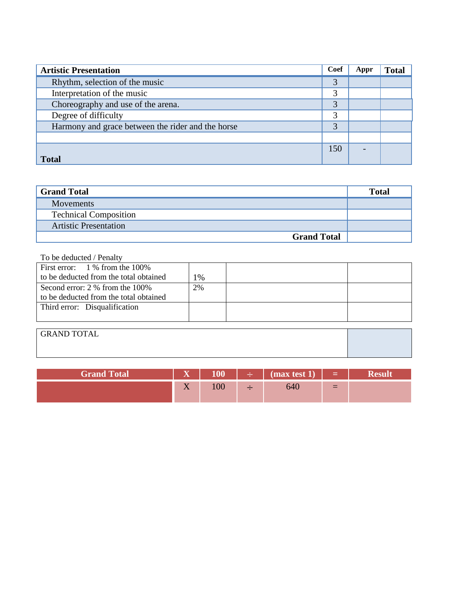| <b>Artistic Presentation</b>                      | Coef | Appr | <b>Total</b> |
|---------------------------------------------------|------|------|--------------|
| Rhythm, selection of the music                    | 3    |      |              |
| Interpretation of the music                       | 3    |      |              |
| Choreography and use of the arena.                | 3    |      |              |
| Degree of difficulty                              | 3    |      |              |
| Harmony and grace between the rider and the horse | 3    |      |              |
|                                                   |      |      |              |
|                                                   | 150  |      |              |
| <b>Total</b>                                      |      |      |              |

| <b>Grand Total</b>           | <b>Total</b> |
|------------------------------|--------------|
| <b>Movements</b>             |              |
| <b>Technical Composition</b> |              |
| <b>Artistic Presentation</b> |              |
| <b>Grand Total</b>           |              |

### To be deducted / Penalty

| First error: $1\%$ from the 100%       |    |  |
|----------------------------------------|----|--|
| to be deducted from the total obtained | 1% |  |
| Second error: 2 % from the 100%        | 2% |  |
| to be deducted from the total obtained |    |  |
| Third error: Disqualification          |    |  |
|                                        |    |  |
|                                        |    |  |

| <b>GRAND TOTAL</b> |  |
|--------------------|--|
|                    |  |
|                    |  |

| <b>Grand Total</b> | $\overline{\mathbf{v}}$    | 100   | $\div$ (max test 1) | a ma |  |
|--------------------|----------------------------|-------|---------------------|------|--|
|                    | $\sim$ $\sim$<br>$\Lambda$ | 1 V V | 640                 | $=$  |  |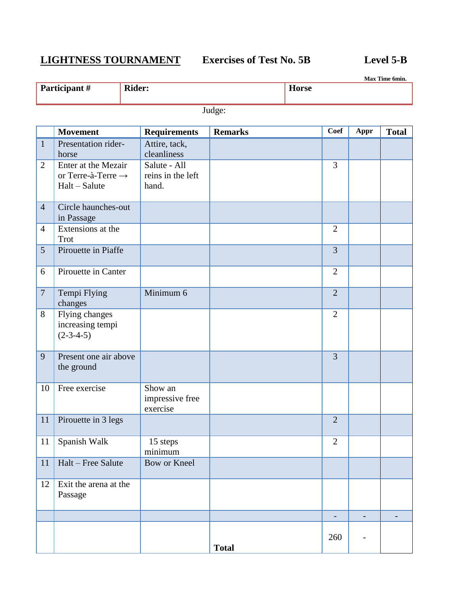# **LIGHTNESS TOURNAMENT Exercises of Test No. 5B Level 5-B**

**Max Time 6min.**

**Participant # Rider: Horse** 

Judge:

|                | <b>Movement</b>                                                        | <b>Requirements</b>                        | <b>Remarks</b> | Coef           | Appr                     | <b>Total</b> |
|----------------|------------------------------------------------------------------------|--------------------------------------------|----------------|----------------|--------------------------|--------------|
| $\mathbf{1}$   | Presentation rider-<br>horse                                           | Attire, tack,<br>cleanliness               |                |                |                          |              |
| $\overline{2}$ | Enter at the Mezair<br>or Terre-à-Terre $\rightarrow$<br>Halt - Salute | Salute - All<br>reins in the left<br>hand. |                | $\overline{3}$ |                          |              |
| $\overline{4}$ | Circle haunches-out<br>in Passage                                      |                                            |                |                |                          |              |
| $\overline{4}$ | Extensions at the<br><b>Trot</b>                                       |                                            |                | $\overline{2}$ |                          |              |
| 5              | Pirouette in Piaffe                                                    |                                            |                | $\overline{3}$ |                          |              |
| 6              | Pirouette in Canter                                                    |                                            |                | $\overline{2}$ |                          |              |
| $\overline{7}$ | Tempi Flying<br>changes                                                | Minimum 6                                  |                | $\overline{2}$ |                          |              |
| 8              | <b>Flying changes</b><br>increasing tempi<br>$(2-3-4-5)$               |                                            |                | $\overline{2}$ |                          |              |
| 9              | Present one air above<br>the ground                                    |                                            |                | $\overline{3}$ |                          |              |
| 10             | Free exercise                                                          | Show an<br>impressive free<br>exercise     |                |                |                          |              |
| 11             | Pirouette in 3 legs                                                    |                                            |                | $\overline{2}$ |                          |              |
| 11             | Spanish Walk                                                           | 15 steps<br>minimum                        |                | $\overline{2}$ |                          |              |
|                | 11 Halt – Free Salute                                                  | Bow or Kneel                               |                |                |                          |              |
| 12             | Exit the arena at the<br>Passage                                       |                                            |                |                |                          |              |
|                |                                                                        |                                            |                | -              | $\overline{\phantom{a}}$ |              |
|                |                                                                        |                                            | <b>Total</b>   | 260            |                          |              |